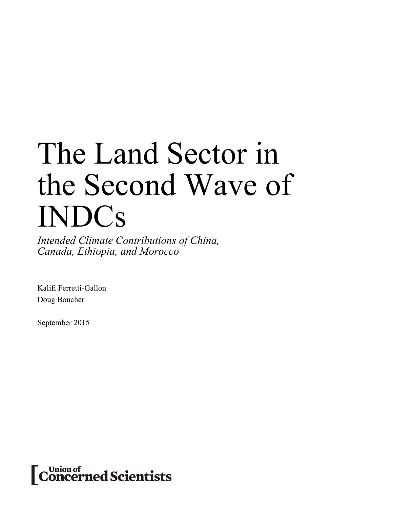# The Land Sector in the Second Wave of INDCs

*Intended Climate Contributions of China, Canada, Ethiopia, and Morocco*

Kalifi Ferretti-Gallon Doug Boucher

September 2015

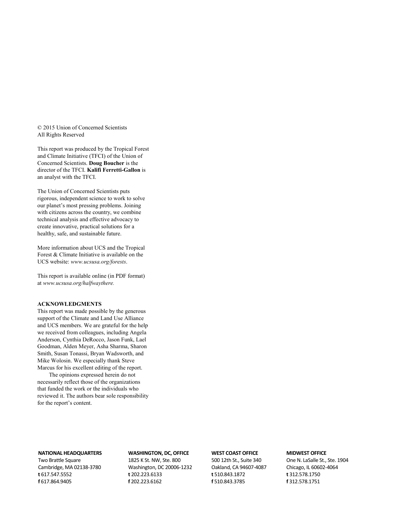© 2015 Union of Concerned Scientists All Rights Reserved

This report was produced by the Tropical Forest and Climate Initiative (TFCI) of the Union of Concerned Scientists. **Doug Boucher** is the director of the TFCI. **Kalifi Ferretti-Gallon** is an analyst with the TFCI.

The Union of Concerned Scientists puts rigorous, independent science to work to solve our planet's most pressing problems. Joining with citizens across the country, we combine technical analysis and effective advocacy to create innovative, practical solutions for a healthy, safe, and sustainable future.

More information about UCS and the Tropical Forest & Climate Initiative is available on the UCS website: *www.ucsusa.org/forests*.

This report is available online (in PDF format) at *www.ucsusa.org/halfwaythere.*

## **ACKNOWLEDGMENTS**

This report was made possible by the generous support of the Climate and Land Use Alliance and UCS members. We are grateful for the help we received from colleagues, including Angela Anderson, Cynthia DeRocco, Jason Funk, Lael Goodman, Alden Meyer, Asha Sharma, Sharon Smith, Susan Tonassi, Bryan Wadsworth, and Mike Wolosin. We especially thank Steve Marcus for his excellent editing of the report.

The opinions expressed herein do not necessarily reflect those of the organizations that funded the work or the individuals who reviewed it. The authors bear sole responsibility for the report's content.

### **NATIONAL HEADQUARTERS**

Two Brattle Square Cambridge, MA 02138-3780 **t** 617.547.5552 **f** 617.864.9405

## **WASHINGTON, DC, OFFICE**

1825 K St. NW, Ste. 800 Washington, DC 20006-1232 **t** 202.223.6133 **f** 202.223.6162

#### **WEST COAST OFFICE**

500 12th St., Suite 340 Oakland, CA 94607-4087 **t** 510.843.1872 **f** 510.843.3785

### **MIDWEST OFFICE**

One N. LaSalle St., Ste. 1904 Chicago, IL 60602-4064 **t** 312.578.1750 **f** 312.578.1751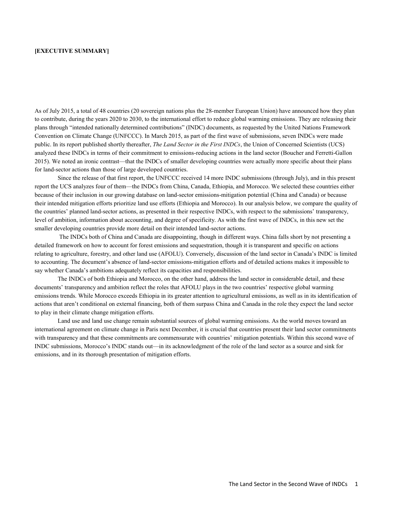## **[EXECUTIVE SUMMARY]**

As of July 2015, a total of 48 countries (20 sovereign nations plus the 28-member European Union) have announced how they plan to contribute, during the years 2020 to 2030, to the international effort to reduce global warming emissions. They are releasing their plans through "intended nationally determined contributions" (INDC) documents, as requested by the United Nations Framework Convention on Climate Change (UNFCCC). In March 2015, as part of the first wave of submissions, seven INDCs were made public. In its report published shortly thereafter, *The Land Sector in the First INDCs*, the Union of Concerned Scientists (UCS) analyzed these INDCs in terms of their commitment to emissions-reducing actions in the land sector (Boucher and Ferretti-Gallon 2015). We noted an ironic contrast—that the INDCs of smaller developing countries were actually more specific about their plans for land-sector actions than those of large developed countries.

Since the release of that first report, the UNFCCC received 14 more INDC submissions (through July), and in this present report the UCS analyzes four of them—the INDCs from China, Canada, Ethiopia, and Morocco. We selected these countries either because of their inclusion in our growing database on land-sector emissions-mitigation potential (China and Canada) or because their intended mitigation efforts prioritize land use efforts (Ethiopia and Morocco). In our analysis below, we compare the quality of the countries' planned land-sector actions, as presented in their respective INDCs, with respect to the submissions' transparency, level of ambition, information about accounting, and degree of specificity. As with the first wave of INDCs, in this new set the smaller developing countries provide more detail on their intended land-sector actions.

The INDCs both of China and Canada are disappointing, though in different ways. China falls short by not presenting a detailed framework on how to account for forest emissions and sequestration, though it is transparent and specific on actions relating to agriculture, forestry, and other land use (AFOLU). Conversely, discussion of the land sector in Canada's INDC is limited to accounting. The document's absence of land-sector emissions-mitigation efforts and of detailed actions makes it impossible to say whether Canada's ambitions adequately reflect its capacities and responsibilities.

The INDCs of both Ethiopia and Morocco, on the other hand, address the land sector in considerable detail, and these documents' transparency and ambition reflect the roles that AFOLU plays in the two countries' respective global warming emissions trends. While Morocco exceeds Ethiopia in its greater attention to agricultural emissions, as well as in its identification of actions that aren't conditional on external financing, both of them surpass China and Canada in the role they expect the land sector to play in their climate change mitigation efforts.

Land use and land use change remain substantial sources of global warming emissions. As the world moves toward an international agreement on climate change in Paris next December, it is crucial that countries present their land sector commitments with transparency and that these commitments are commensurate with countries' mitigation potentials. Within this second wave of INDC submissions, Morocco's INDC stands out—in its acknowledgment of the role of the land sector as a source and sink for emissions, and in its thorough presentation of mitigation efforts.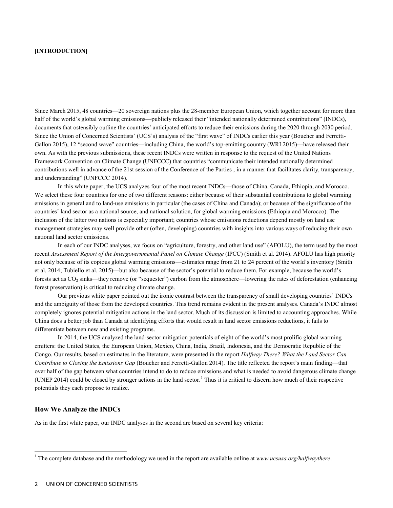## **[INTRODUCTION]**

Since March 2015, 48 countries—20 sovereign nations plus the 28-member European Union, which together account for more than half of the world's global warming emissions—publicly released their "intended nationally determined contributions" (INDCs), documents that ostensibly outline the countries' anticipated efforts to reduce their emissions during the 2020 through 2030 period. Since the Union of Concerned Scientists' (UCS's) analysis of the "first wave" of INDCs earlier this year (Boucher and Ferretti-Gallon 2015), 12 "second wave" countries—including China, the world's top-emitting country (WRI 2015)—have released their own. As with the previous submissions, these recent INDCs were written in response to the request of the United Nations Framework Convention on Climate Change (UNFCCC) that countries "communicate their intended nationally determined contributions well in advance of the 21st session of the Conference of the Parties , in a manner that facilitates clarity, transparency, and understanding" (UNFCCC 2014).

In this white paper, the UCS analyzes four of the most recent INDCs—those of China, Canada, Ethiopia, and Morocco. We select these four countries for one of two different reasons: either because of their substantial contributions to global warming emissions in general and to land-use emissions in particular (the cases of China and Canada); or because of the significance of the countries' land sector as a national source, and national solution, for global warming emissions (Ethiopia and Morocco). The inclusion of the latter two nations is especially important; countries whose emissions reductions depend mostly on land use management strategies may well provide other (often, developing) countries with insights into various ways of reducing their own national land sector emissions.

In each of our INDC analyses, we focus on "agriculture, forestry, and other land use" (AFOLU), the term used by the most recent *Assessment Report of the Intergovernmental Panel on Climate Change* (IPCC) (Smith et al. 2014). AFOLU has high priority not only because of its copious global warming emissions—estimates range from 21 to 24 percent of the world's inventory (Smith et al. 2014; Tubiello et al. 2015)—but also because of the sector's potential to reduce them. For example, because the world's forests act as  $CO_2$  sinks—they remove (or "sequester") carbon from the atmosphere—lowering the rates of deforestation (enhancing forest preservation) is critical to reducing climate change.

Our previous white paper pointed out the ironic contrast between the transparency of small developing countries' INDCs and the ambiguity of those from the developed countries. This trend remains evident in the present analyses. Canada's INDC almost completely ignores potential mitigation actions in the land sector. Much of its discussion is limited to accounting approaches. While China does a better job than Canada at identifying efforts that would result in land sector emissions reductions, it fails to differentiate between new and existing programs.

In 2014, the UCS analyzed the land-sector mitigation potentials of eight of the world's most prolific global warming emitters: the United States, the European Union, Mexico, China, India, Brazil, Indonesia, and the Democratic Republic of the Congo. Our results, based on estimates in the literature, were presented in the report *Halfway There? What the Land Sector Can Contribute to Closing the Emissions Gap* (Boucher and Ferretti-Gallon 2014). The title reflected the report's main finding—that over half of the gap between what countries intend to do to reduce emissions and what is needed to avoid dangerous climate change (UNEP 20[1](#page-3-0)4) could be closed by stronger actions in the land sector.<sup>1</sup> Thus it is critical to discern how much of their respective potentials they each propose to realize.

# **How We Analyze the INDCs**

As in the first white paper, our INDC analyses in the second are based on several key criteria:

<span id="page-3-0"></span><sup>1</sup> The complete database and the methodology we used in the report are available online at *www.ucsusa.org/halfwaythere*.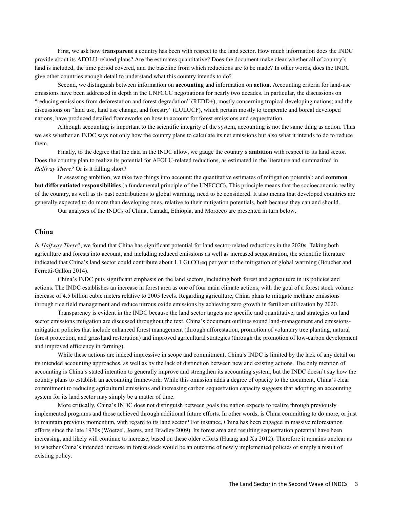First, we ask how **transparent** a country has been with respect to the land sector. How much information does the INDC provide about its AFOLU-related plans? Are the estimates quantitative? Does the document make clear whether all of country's land is included, the time period covered, and the baseline from which reductions are to be made? In other words, does the INDC give other countries enough detail to understand what this country intends to do?

Second, we distinguish between information on **accounting** and information on **action.** Accounting criteria for land-use emissions have been addressed in depth in the UNFCCC negotiations for nearly two decades. In particular, the discussions on "reducing emissions from deforestation and forest degradation" (REDD+), mostly concerning tropical developing nations; and the discussions on "land use, land use change, and forestry" (LULUCF), which pertain mostly to temperate and boreal developed nations, have produced detailed frameworks on how to account for forest emissions and sequestration.

Although accounting is important to the scientific integrity of the system, accounting is not the same thing as action. Thus we ask whether an INDC says not only how the country plans to calculate its net emissions but also what it intends to do to reduce them.

Finally, to the degree that the data in the INDC allow, we gauge the country's **ambition** with respect to its land sector. Does the country plan to realize its potential for AFOLU-related reductions, as estimated in the literature and summarized in *Halfway There?* Or is it falling short?

In assessing ambition, we take two things into account: the quantitative estimates of mitigation potential; and **common but differentiated responsibilities** (a fundamental principle of the UNFCCC). This principle means that the socioeconomic reality of the country, as well as its past contributions to global warming, need to be considered. It also means that developed countries are generally expected to do more than developing ones, relative to their mitigation potentials, both because they can and should.

Our analyses of the INDCs of China, Canada, Ethiopia, and Morocco are presented in turn below.

# **China**

*In Halfway There*?, we found that China has significant potential for land sector-related reductions in the 2020s. Taking both agriculture and forests into account, and including reduced emissions as well as increased sequestration, the scientific literature indicated that China's land sector could contribute about 1.1 Gt  $CO<sub>2</sub>$ eq per year to the mitigation of global warming (Boucher and Ferretti-Gallon 2014).

China's INDC puts significant emphasis on the land sectors, including both forest and agriculture in its policies and actions. The INDC establishes an increase in forest area as one of four main climate actions, with the goal of a forest stock volume increase of 4.5 billion cubic meters relative to 2005 levels. Regarding agriculture, China plans to mitigate methane emissions through rice field management and reduce nitrous oxide emissions by achieving zero growth in fertilizer utilization by 2020.

Transparency is evident in the INDC because the land sector targets are specific and quantitative, and strategies on land sector emissions mitigation are discussed throughout the text. China's document outlines sound land-management and emissionsmitigation policies that include enhanced forest management (through afforestation, promotion of voluntary tree planting, natural forest protection, and grassland restoration) and improved agricultural strategies (through the promotion of low-carbon development and improved efficiency in farming).

While these actions are indeed impressive in scope and commitment, China's INDC is limited by the lack of any detail on its intended accounting approaches, as well as by the lack of distinction between new and existing actions. The only mention of accounting is China's stated intention to generally improve and strengthen its accounting system, but the INDC doesn't say how the country plans to establish an accounting framework. While this omission adds a degree of opacity to the document, China's clear commitment to reducing agricultural emissions and increasing carbon sequestration capacity suggests that adopting an accounting system for its land sector may simply be a matter of time.

More critically, China's INDC does not distinguish between goals the nation expects to realize through previously implemented programs and those achieved through additional future efforts. In other words, is China committing to do more, or just to maintain previous momentum, with regard to its land sector? For instance, China has been engaged in massive reforestation efforts since the late 1970s (Woetzel, Joerss, and Bradley 2009). Its forest area and resulting sequestration potential have been increasing, and likely will continue to increase, based on these older efforts (Huang and Xu 2012). Therefore it remains unclear as to whether China's intended increase in forest stock would be an outcome of newly implemented policies or simply a result of existing policy.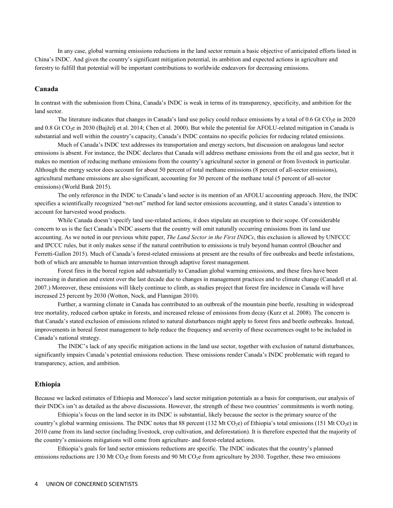In any case, global warming emissions reductions in the land sector remain a basic objective of anticipated efforts listed in China's INDC. And given the country's significant mitigation potential, its ambition and expected actions in agriculture and forestry to fulfill that potential will be important contributions to worldwide endeavors for decreasing emissions.

# **Canada**

In contrast with the submission from China, Canada's INDC is weak in terms of its transparency, specificity, and ambition for the land sector.

The literature indicates that changes in Canada's land use policy could reduce emissions by a total of  $0.6$  Gt  $CO<sub>2</sub>e$  in 2020 and 0.8 Gt CO<sub>2</sub>e in 2030 (Bajželj et al. 2014; Chen et al. 2000). But while the potential for AFOLU-related mitigation in Canada is substantial and well within the country's capacity, Canada's INDC contains no specific policies for reducing related emissions.

Much of Canada's INDC text addresses its transportation and energy sectors, but discussion on analogous land sector emissions is absent. For instance, the INDC declares that Canada will address methane emissions from the oil and gas sector, but it makes no mention of reducing methane emissions from the country's agricultural sector in general or from livestock in particular. Although the energy sector does account for about 50 percent of total methane emissions (8 percent of all-sector emissions), agricultural methane emissions are also significant, accounting for 30 percent of the methane total (5 percent of all-sector emissions) (World Bank 2015).

The only reference in the INDC to Canada's land sector is its mention of an AFOLU accounting approach. Here, the INDC specifies a scientifically recognized "net-net" method for land sector emissions accounting, and it states Canada's intention to account for harvested wood products.

While Canada doesn't specify land use-related actions, it does stipulate an exception to their scope. Of considerable concern to us is the fact Canada's INDC asserts that the country will omit naturally occurring emissions from its land use accounting. As we noted in our previous white paper, *The Land Sector in the First INDCs*, this exclusion is allowed by UNFCCC and IPCCC rules, but it only makes sense if the natural contribution to emissions is truly beyond human control (Boucher and Ferretti-Gallon 2015). Much of Canada's forest-related emissions at present are the results of fire outbreaks and beetle infestations, both of which are amenable to human intervention through adaptive forest management.

Forest fires in the boreal region add substantially to Canadian global warming emissions, and these fires have been increasing in duration and extent over the last decade due to changes in management practices and to climate change (Canadell et al. 2007.) Moreover, these emissions will likely continue to climb, as studies project that forest fire incidence in Canada will have increased 25 percent by 2030 (Wotton, Nock, and Flannigan 2010).

Further, a warming climate in Canada has contributed to an outbreak of the mountain pine beetle, resulting in widespread tree mortality, reduced carbon uptake in forests, and increased release of emissions from decay (Kurz et al. 2008). The concern is that Canada's stated exclusion of emissions related to natural disturbances might apply to forest fires and beetle outbreaks. Instead, improvements in boreal forest management to help reduce the frequency and severity of these occurrences ought to be included in Canada's national strategy.

The INDC's lack of any specific mitigation actions in the land use sector, together with exclusion of natural disturbances, significantly impairs Canada's potential emissions reduction. These omissions render Canada's INDC problematic with regard to transparency, action, and ambition.

# **Ethiopia**

Because we lacked estimates of Ethiopia and Morocco's land sector mitigation potentials as a basis for comparison, our analysis of their INDCs isn't as detailed as the above discussions. However, the strength of these two countries' commitments is worth noting.

Ethiopia's focus on the land sector in its INDC is substantial, likely because the sector is the primary source of the country's global warming emissions. The INDC notes that 88 percent (132 Mt CO<sub>2</sub>e) of Ethiopia's total emissions (151 Mt CO<sub>2</sub>e) in 2010 came from its land sector (including livestock, crop cultivation, and deforestation). It is therefore expected that the majority of the country's emissions mitigations will come from agriculture- and forest-related actions.

Ethiopia's goals for land sector emissions reductions are specific. The INDC indicates that the country's planned emissions reductions are 130 Mt CO<sub>2</sub>e from forests and 90 Mt CO<sub>2</sub>e from agriculture by 2030. Together, these two emissions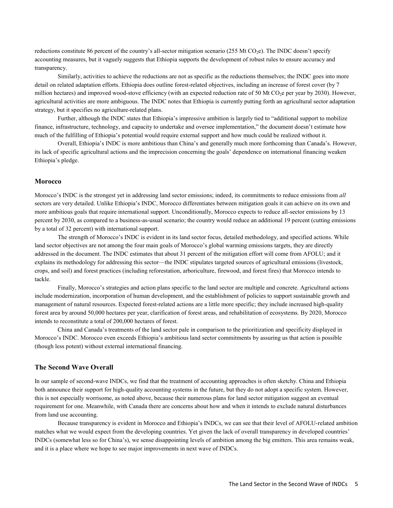reductions constitute 86 percent of the country's all-sector mitigation scenario (255 Mt CO<sub>2</sub>e). The INDC doesn't specify accounting measures, but it vaguely suggests that Ethiopia supports the development of robust rules to ensure accuracy and transparency.

Similarly, activities to achieve the reductions are not as specific as the reductions themselves; the INDC goes into more detail on related adaptation efforts. Ethiopia does outline forest-related objectives, including an increase of forest cover (by 7 million hectares) and improved wood-stove efficiency (with an expected reduction rate of 50 Mt CO<sub>2</sub>e per year by 2030). However, agricultural activities are more ambiguous. The INDC notes that Ethiopia is currently putting forth an agricultural sector adaptation strategy, but it specifies no agriculture-related plans.

Further, although the INDC states that Ethiopia's impressive ambition is largely tied to "additional support to mobilize finance, infrastructure, technology, and capacity to undertake and oversee implementation," the document doesn't estimate how much of the fulfilling of Ethiopia's potential would require external support and how much could be realized without it.

Overall, Ethiopia's INDC is more ambitious than China's and generally much more forthcoming than Canada's. However, its lack of specific agricultural actions and the imprecision concerning the goals' dependence on international financing weaken Ethiopia's pledge.

# **Morocco**

Morocco's INDC is the strongest yet in addressing land sector emissions; indeed, its commitments to reduce emissions from *all* sectors are very detailed. Unlike Ethiopia's INDC, Morocco differentiates between mitigation goals it can achieve on its own and more ambitious goals that require international support. Unconditionally, Morocco expects to reduce all-sector emissions by 13 percent by 2030, as compared to a business-as-usual scenario; the country would reduce an additional 19 percent (cutting emissions by a total of 32 percent) with international support.

The strength of Morocco's INDC is evident in its land sector focus, detailed methodology, and specified actions. While land sector objectives are not among the four main goals of Morocco's global warming emissions targets, they are directly addressed in the document. The INDC estimates that about 31 percent of the mitigation effort will come from AFOLU; and it explains its methodology for addressing this sector—the INDC stipulates targeted sources of agricultural emissions (livestock, crops, and soil) and forest practices (including reforestation, arboriculture, firewood, and forest fires) that Morocco intends to tackle.

Finally, Morocco's strategies and action plans specific to the land sector are multiple and concrete. Agricultural actions include modernization, incorporation of human development, and the establishment of policies to support sustainable growth and management of natural resources. Expected forest-related actions are a little more specific; they include increased high-quality forest area by around 50,000 hectares per year, clarification of forest areas, and rehabilitation of ecosystems. By 2020, Morocco intends to reconstitute a total of 200,000 hectares of forest.

China and Canada's treatments of the land sector pale in comparison to the prioritization and specificity displayed in Morocco's INDC. Morocco even exceeds Ethiopia's ambitious land sector commitments by assuring us that action is possible (though less potent) without external international financing.

# **The Second Wave Overall**

In our sample of second-wave INDCs, we find that the treatment of accounting approaches is often sketchy. China and Ethiopia both announce their support for high-quality accounting systems in the future, but they do not adopt a specific system. However, this is not especially worrisome, as noted above, because their numerous plans for land sector mitigation suggest an eventual requirement for one. Meanwhile, with Canada there are concerns about how and when it intends to exclude natural disturbances from land use accounting.

Because transparency is evident in Morocco and Ethiopia's INDCs, we can see that their level of AFOLU-related ambition matches what we would expect from the developing countries. Yet given the lack of overall transparency in developed countries' INDCs (somewhat less so for China's), we sense disappointing levels of ambition among the big emitters. This area remains weak, and it is a place where we hope to see major improvements in next wave of INDCs.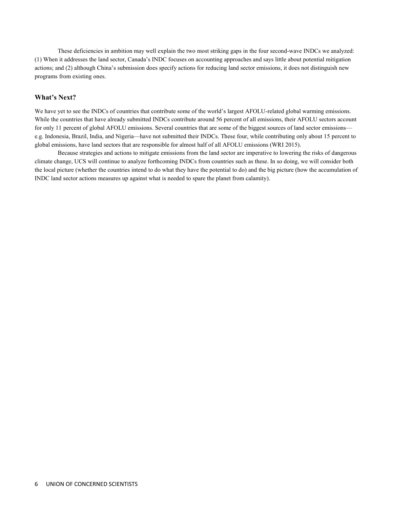These deficiencies in ambition may well explain the two most striking gaps in the four second-wave INDCs we analyzed: (1) When it addresses the land sector, Canada's INDC focuses on accounting approaches and says little about potential mitigation actions; and (2) although China's submission does specify actions for reducing land sector emissions, it does not distinguish new programs from existing ones.

# **What's Next?**

We have yet to see the INDCs of countries that contribute some of the world's largest AFOLU-related global warming emissions. While the countries that have already submitted INDCs contribute around 56 percent of all emissions, their AFOLU sectors account for only 11 percent of global AFOLU emissions. Several countries that are some of the biggest sources of land sector emissions e.g. Indonesia, Brazil, India, and Nigeria—have not submitted their INDCs. These four, while contributing only about 15 percent to global emissions, have land sectors that are responsible for almost half of all AFOLU emissions (WRI 2015).

Because strategies and actions to mitigate emissions from the land sector are imperative to lowering the risks of dangerous climate change, UCS will continue to analyze forthcoming INDCs from countries such as these. In so doing, we will consider both the local picture (whether the countries intend to do what they have the potential to do) and the big picture (how the accumulation of INDC land sector actions measures up against what is needed to spare the planet from calamity).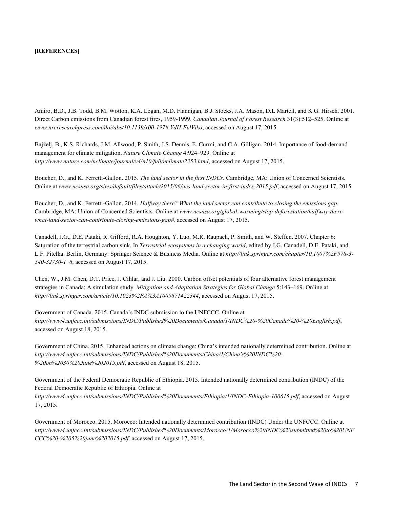# **[REFERENCES]**

Amiro, B.D., J.B. Todd, B.M. Wotton, K.A. Logan, M.D. Flannigan, B.J. Stocks, J.A. Mason, D.L Martell, and K.G. Hirsch. 2001. Direct Carbon emissions from Canadian forest fires, 1959-1999. *Canadian Journal of Forest Research* 31(3):512–525. Online at *www.nrcresearchpress.com/doi/abs/10.1139/x00-197#.VdH-FvlViko*, accessed on August 17, 2015.

Bajželj, B., K.S. Richards, J.M. Allwood, P. Smith, J.S. Dennis, E. Curmi, and C.A. Gilligan. 2014. Importance of food-demand management for climate mitigation. *Nature Climate Change* 4:924–929. Online at *http://www.nature.com/nclimate/journal/v4/n10/full/nclimate2353.html*, accessed on August 17, 2015.

Boucher, D., and K. Ferretti-Gallon. 2015. *The land sector in the first INDCs*. Cambridge, MA: Union of Concerned Scientists. Online at *www.ucsusa.org/sites/default/files/attach/2015/06/ucs-land-sector-in-first-indcs-2015.pdf*, accessed on August 17, 2015.

Boucher, D., and K. Ferretti-Gallon. 2014. *Halfway there? What the land sector can contribute to closing the emissions gap*. Cambridge, MA: Union of Concerned Scientists. Online at *www.ucsusa.org/global-warming/stop-deforestation/halfway-therewhat-land-sector-can-contribute-closing-emissions-gap#,* accessed on August 17, 2015.

Canadell, J.G., D.E. Pataki, R. Gifford, R.A. Houghton, Y. Luo, M.R. Raupach, P. Smith, and W. Steffen. 2007. Chapter 6: Saturation of the terrestrial carbon sink. In *Terrestrial ecosystems in a changing world*, edited by J.G. Canadell, D.E. Pataki, and L.F. Pitelka. Berlin, Germany: Springer Science & Business Media. Online at *http://link.springer.com/chapter/10.1007%2F978-3- 540-32730-1\_6*, accessed on August 17, 2015.

Chen, W., J.M. Chen, D.T. Price, J. Cihlar, and J. Liu. 2000. Carbon offset potentials of four alternative forest management strategies in Canada: A simulation study. *Mitigation and Adaptation Strategies for Global Change* 5:143–169. Online at *http://link.springer.com/article/10.1023%2FA%3A1009671422344*, accessed on August 17, 2015.

Government of Canada. 2015. Canada's INDC submission to the UNFCCC. Online at *http://www4.unfccc.int/submissions/INDC/Published%20Documents/Canada/1/INDC%20-%20Canada%20-%20English.pdf*, accessed on August 18, 2015.

Government of China. 2015. Enhanced actions on climate change: China's intended nationally determined contribution. Online at *http://www4.unfccc.int/submissions/INDC/Published%20Documents/China/1/China's%20INDC%20- %20on%2030%20June%202015.pdf*, accessed on August 18, 2015.

Government of the Federal Democratic Republic of Ethiopia. 2015. Intended nationally determined contribution (INDC) of the Federal Democratic Republic of Ethiopia. Online at *http://www4.unfccc.int/submissions/INDC/Published%20Documents/Ethiopia/1/INDC-Ethiopia-100615.pdf*, accessed on August

17, 2015. Government of Morocco. 2015. Morocco: Intended nationally determined contribution (INDC) Under the UNFCCC. Online at

*http://www4.unfccc.int/submissions/INDC/Published%20Documents/Morocco/1/Morocco%20INDC%20submitted%20to%20UNF CCC%20-%205%20june%202015.pdf,* accessed on August 17, 2015.